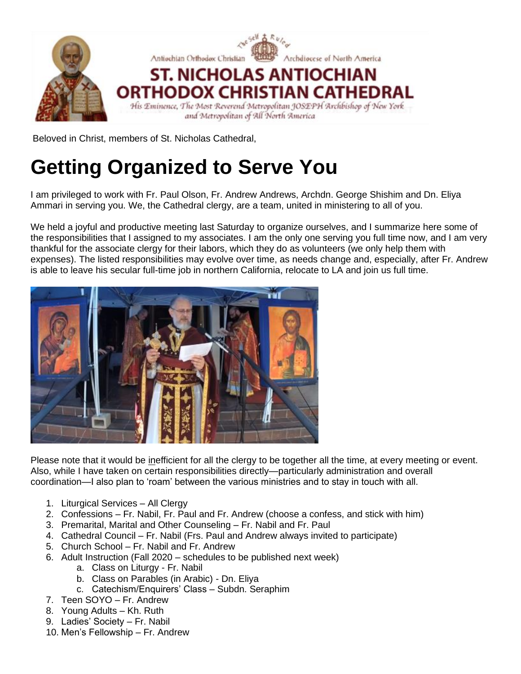

Beloved in Christ, members of St. Nicholas Cathedral,

# **Getting Organized to Serve You**

I am privileged to work with Fr. Paul Olson, Fr. Andrew Andrews, Archdn. George Shishim and Dn. Eliya Ammari in serving you. We, the Cathedral clergy, are a team, united in ministering to all of you.

We held a joyful and productive meeting last Saturday to organize ourselves, and I summarize here some of the responsibilities that I assigned to my associates. I am the only one serving you full time now, and I am very thankful for the associate clergy for their labors, which they do as volunteers (we only help them with expenses). The listed responsibilities may evolve over time, as needs change and, especially, after Fr. Andrew is able to leave his secular full-time job in northern California, relocate to LA and join us full time.



Please note that it would be inefficient for all the clergy to be together all the time, at every meeting or event. Also, while I have taken on certain responsibilities directly—particularly administration and overall coordination—I also plan to 'roam' between the various ministries and to stay in touch with all.

- 1. Liturgical Services All Clergy
- 2. Confessions Fr. Nabil, Fr. Paul and Fr. Andrew (choose a confess, and stick with him)
- 3. Premarital, Marital and Other Counseling Fr. Nabil and Fr. Paul
- 4. Cathedral Council Fr. Nabil (Frs. Paul and Andrew always invited to participate)
- 5. Church School Fr. Nabil and Fr. Andrew
- 6. Adult Instruction (Fall 2020 schedules to be published next week)
	- a. Class on Liturgy Fr. Nabil
	- b. Class on Parables (in Arabic) Dn. Eliya
	- c. Catechism/Enquirers' Class Subdn. Seraphim
- 7. Teen SOYO Fr. Andrew
- 8. Young Adults Kh. Ruth
- 9. Ladies' Society Fr. Nabil
- 10. Men's Fellowship Fr. Andrew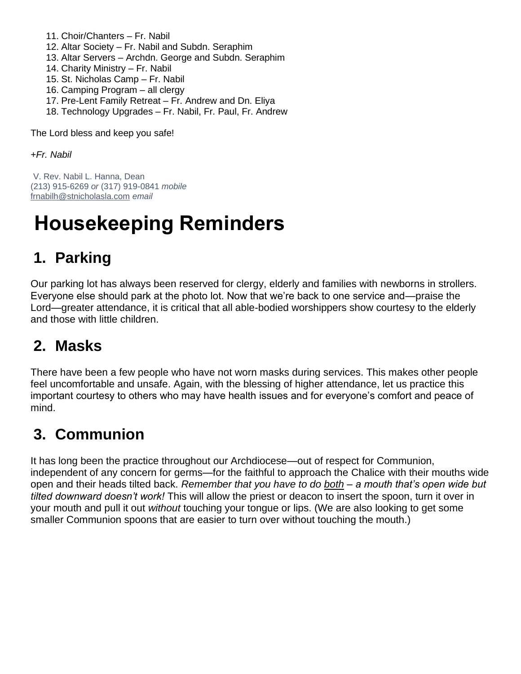- 11. Choir/Chanters Fr. Nabil
- 12. Altar Society Fr. Nabil and Subdn. Seraphim
- 13. Altar Servers Archdn. George and Subdn. Seraphim
- 14. Charity Ministry Fr. Nabil
- 15. St. Nicholas Camp Fr. Nabil
- 16. Camping Program all clergy
- 17. Pre-Lent Family Retreat Fr. Andrew and Dn. Eliya
- 18. Technology Upgrades Fr. Nabil, Fr. Paul, Fr. Andrew

The Lord bless and keep you safe!

*+Fr. Nabil*

V. Rev. Nabil L. Hanna, Dean (213) 915-6269 *or* (317) 919-0841 *mobile* [frnabilh@stnicholasla.com](mailto:frnabilh@stnicholasla.com) *email*

# **Housekeeping Reminders**

## **1. Parking**

Our parking lot has always been reserved for clergy, elderly and families with newborns in strollers. Everyone else should park at the photo lot. Now that we're back to one service and—praise the Lord—greater attendance, it is critical that all able-bodied worshippers show courtesy to the elderly and those with little children.

## **2. Masks**

There have been a few people who have not worn masks during services. This makes other people feel uncomfortable and unsafe. Again, with the blessing of higher attendance, let us practice this important courtesy to others who may have health issues and for everyone's comfort and peace of mind.

## **3. Communion**

It has long been the practice throughout our Archdiocese—out of respect for Communion, independent of any concern for germs—for the faithful to approach the Chalice with their mouths wide open and their heads tilted back. *Remember that you have to do both – a mouth that's open wide but tilted downward doesn't work!* This will allow the priest or deacon to insert the spoon, turn it over in your mouth and pull it out *without* touching your tongue or lips. (We are also looking to get some smaller Communion spoons that are easier to turn over without touching the mouth.)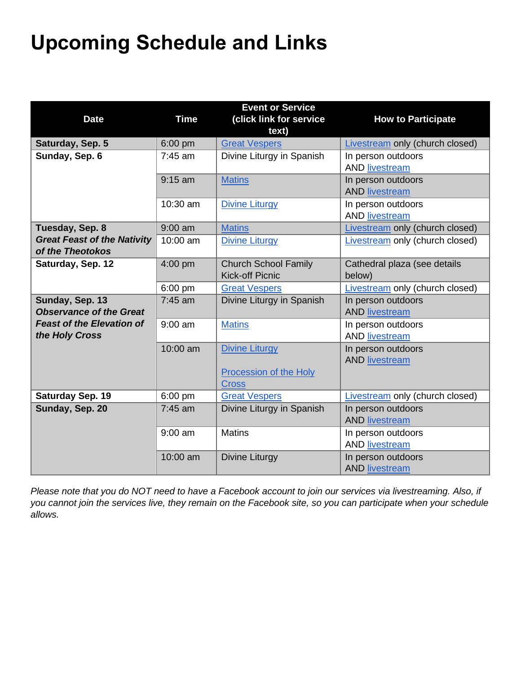# **Upcoming Schedule and Links**

| <b>Date</b>                                            | <b>Time</b> | <b>Event or Service</b><br>(click link for service<br>text) | <b>How to Participate</b>                   |
|--------------------------------------------------------|-------------|-------------------------------------------------------------|---------------------------------------------|
| Saturday, Sep. 5                                       | 6:00 pm     | <b>Great Vespers</b>                                        | <b>Livestream only (church closed)</b>      |
| Sunday, Sep. 6                                         | $7:45$ am   | Divine Liturgy in Spanish                                   | In person outdoors<br><b>AND livestream</b> |
|                                                        | $9:15$ am   | <b>Matins</b>                                               | In person outdoors<br><b>AND livestream</b> |
|                                                        | 10:30 am    | <b>Divine Liturgy</b>                                       | In person outdoors<br><b>AND livestream</b> |
| Tuesday, Sep. 8                                        | $9:00$ am   | <b>Matins</b>                                               | Livestream only (church closed)             |
| <b>Great Feast of the Nativity</b><br>of the Theotokos | 10:00 am    | <b>Divine Liturgy</b>                                       | Livestream only (church closed)             |
| Saturday, Sep. 12                                      | 4:00 pm     | <b>Church School Family</b><br><b>Kick-off Picnic</b>       | Cathedral plaza (see details<br>below)      |
|                                                        | 6:00 pm     | <b>Great Vespers</b>                                        | Livestream only (church closed)             |
| Sunday, Sep. 13<br><b>Observance of the Great</b>      | 7:45 am     | Divine Liturgy in Spanish                                   | In person outdoors<br><b>AND livestream</b> |
| <b>Feast of the Elevation of</b><br>the Holy Cross     | $9:00$ am   | <b>Matins</b>                                               | In person outdoors<br><b>AND livestream</b> |
|                                                        | 10:00 am    | <b>Divine Liturgy</b><br><b>Procession of the Holy</b>      | In person outdoors<br><b>AND livestream</b> |
| Saturday Sep. 19                                       | 6:00 pm     | <b>Cross</b><br><b>Great Vespers</b>                        | <b>Livestream only (church closed)</b>      |
| Sunday, Sep. 20                                        | $7:45$ am   | Divine Liturgy in Spanish                                   | In person outdoors<br><b>AND livestream</b> |
|                                                        | $9:00$ am   | <b>Matins</b>                                               | In person outdoors<br><b>AND livestream</b> |
|                                                        | 10:00 am    | Divine Liturgy                                              | In person outdoors<br><b>AND livestream</b> |

*Please note that you do NOT need to have a Facebook account to join our services via livestreaming. Also, if you cannot join the services live, they remain on the Facebook site, so you can participate when your schedule allows.*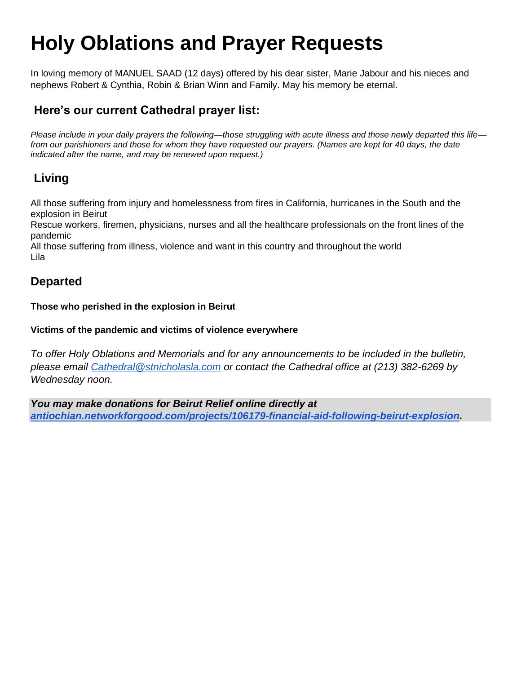# **Holy Oblations and Prayer Requests**

In loving memory of MANUEL SAAD (12 days) offered by his dear sister, Marie Jabour and his nieces and nephews Robert & Cynthia, Robin & Brian Winn and Family. May his memory be eternal.

#### **Here's our current Cathedral prayer list:**

*Please include in your daily prayers the following—those struggling with acute illness and those newly departed this life from our parishioners and those for whom they have requested our prayers. (Names are kept for 40 days, the date indicated after the name, and may be renewed upon request.)*

#### **Living**

All those suffering from injury and homelessness from fires in California, hurricanes in the South and the explosion in Beirut

Rescue workers, firemen, physicians, nurses and all the healthcare professionals on the front lines of the pandemic

All those suffering from illness, violence and want in this country and throughout the world Lila

#### **Departed**

**Those who perished in the explosion in Beirut**

#### **Victims of the pandemic and victims of violence everywhere**

*To offer Holy Oblations and Memorials and for any announcements to be included in the bulletin, please email [Cathedral@stnicholasla.com](mailto:Cathedral@stnicholasla.com) or contact the Cathedral office at (213) 382-6269 by Wednesday noon.*

*You may make donations for Beirut Relief online directly at [antiochian.networkforgood.com/projects/106179-financial-aid-following-beirut-explosion.](https://nam04.safelinks.protection.outlook.com/?url=https%3A%2F%2Fantiochian.networkforgood.com%2Fprojects%2F106179-financial-aid-following-beirut-explosion&data=02%7C01%7C%7C512f51a30c31415138e708d850ef7c8f%7C84df9e7fe9f640afb435aaaaaaaaaaaa%7C1%7C0%7C637348336808145567&sdata=MhIX61TNl8VDDfzXJTu4DxqOxFD%2FPD404HVFYdaVHbc%3D&reserved=0)*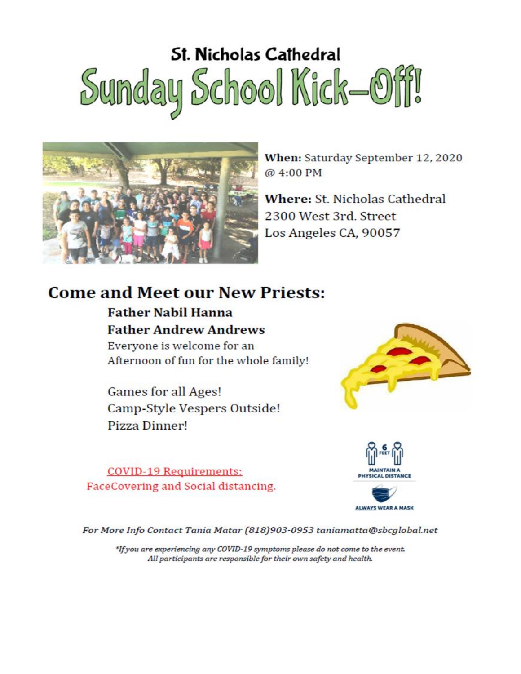# **St. Nicholas Cathedral** Sunday School Kick-Off!



When: Saturday September 12, 2020 @ 4:00 PM

Where: St. Nicholas Cathedral 2300 West 3rd, Street Los Angeles CA, 90057

## **Come and Meet our New Priests:**

## **Father Nabil Hanna Father Andrew Andrews**

Everyone is welcome for an Afternoon of fun for the whole family!

**Games for all Ages!** Camp-Style Vespers Outside! Pizza Dinner!

**COVID-19 Requirements:** FaceCovering and Social distancing.





For More Info Contact Tania Matar (818)903-0953 taniamatta@sbcglobal.net

\*If you are experiencing any COVID-19 symptoms please do not come to the event. All participants are responsible for their own safety and health.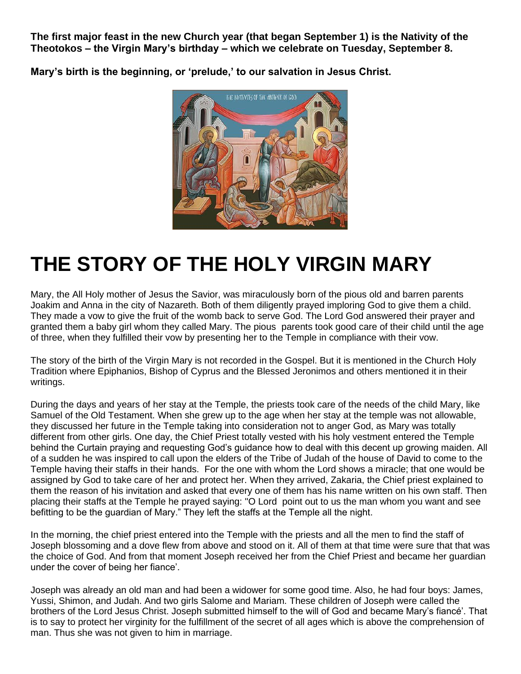**The first major feast in the new Church year (that began September 1) is the Nativity of the Theotokos – the Virgin Mary's birthday – which we celebrate on Tuesday, September 8.**

**Mary's birth is the beginning, or 'prelude,' to our salvation in Jesus Christ.**



# **THE STORY OF THE HOLY VIRGIN MARY**

Mary, the All Holy mother of Jesus the Savior, was miraculously born of the pious old and barren parents Joakim and Anna in the city of Nazareth. Both of them diligently prayed imploring God to give them a child. They made a vow to give the fruit of the womb back to serve God. The Lord God answered their prayer and granted them a baby girl whom they called Mary. The pious parents took good care of their child until the age of three, when they fulfilled their vow by presenting her to the Temple in compliance with their vow.

The story of the birth of the Virgin Mary is not recorded in the Gospel. But it is mentioned in the Church Holy Tradition where Epiphanios, Bishop of Cyprus and the Blessed Jeronimos and others mentioned it in their writings.

During the days and years of her stay at the Temple, the priests took care of the needs of the child Mary, like Samuel of the Old Testament. When she grew up to the age when her stay at the temple was not allowable, they discussed her future in the Temple taking into consideration not to anger God, as Mary was totally different from other girls. One day, the Chief Priest totally vested with his holy vestment entered the Temple behind the Curtain praying and requesting God's guidance how to deal with this decent up growing maiden. All of a sudden he was inspired to call upon the elders of the Tribe of Judah of the house of David to come to the Temple having their staffs in their hands. For the one with whom the Lord shows a miracle; that one would be assigned by God to take care of her and protect her. When they arrived, Zakaria, the Chief priest explained to them the reason of his invitation and asked that every one of them has his name written on his own staff. Then placing their staffs at the Temple he prayed saying: "O Lord point out to us the man whom you want and see befitting to be the guardian of Mary." They left the staffs at the Temple all the night.

In the morning, the chief priest entered into the Temple with the priests and all the men to find the staff of Joseph blossoming and a dove flew from above and stood on it. All of them at that time were sure that that was the choice of God. And from that moment Joseph received her from the Chief Priest and became her guardian under the cover of being her fiance'.

Joseph was already an old man and had been a widower for some good time. Also, he had four boys: James, Yussi, Shimon, and Judah. And two girls Salome and Mariam. These children of Joseph were called the brothers of the Lord Jesus Christ. Joseph submitted himself to the will of God and became Mary's fiancé'. That is to say to protect her virginity for the fulfillment of the secret of all ages which is above the comprehension of man. Thus she was not given to him in marriage.